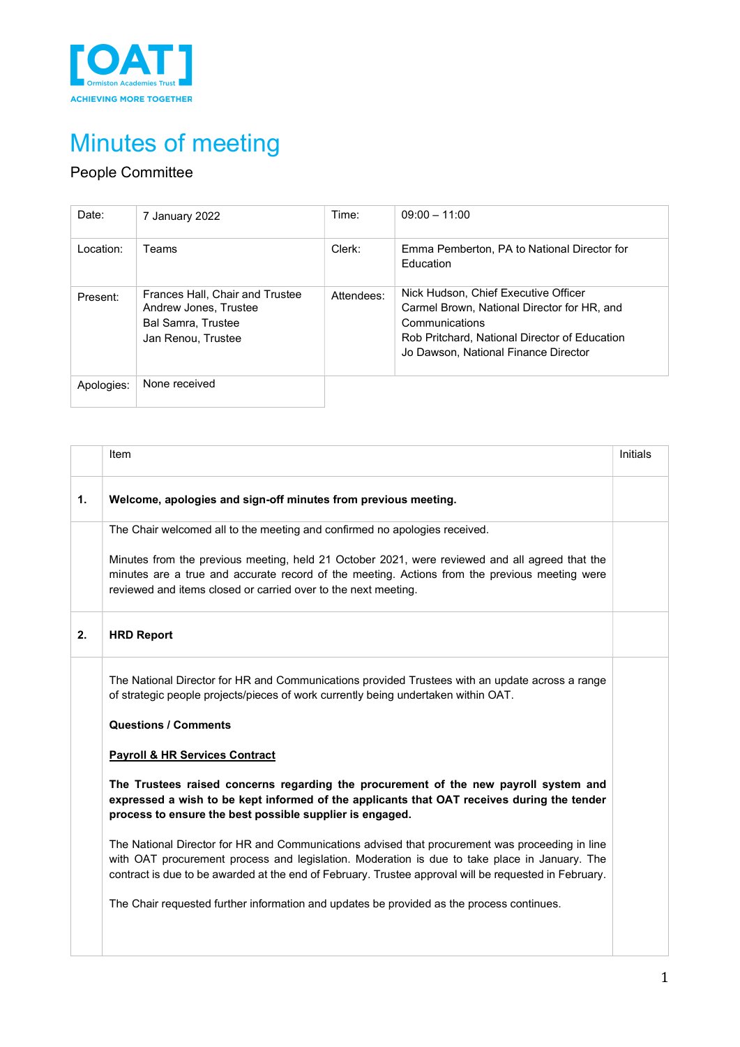

## Minutes of meeting

## People Committee

| Date:      | 7 January 2022                                                                                              | Time:      | $09:00 - 11:00$                                                                                                                                                                                |
|------------|-------------------------------------------------------------------------------------------------------------|------------|------------------------------------------------------------------------------------------------------------------------------------------------------------------------------------------------|
| Location:  | Teams                                                                                                       | Clerk:     | Emma Pemberton, PA to National Director for<br>Education                                                                                                                                       |
| Present:   | Frances Hall, Chair and Trustee<br>Andrew Jones, Trustee<br><b>Bal Samra, Trustee</b><br>Jan Renou, Trustee | Attendees: | Nick Hudson, Chief Executive Officer<br>Carmel Brown, National Director for HR, and<br>Communications<br>Rob Pritchard, National Director of Education<br>Jo Dawson, National Finance Director |
| Apologies: | None received                                                                                               |            |                                                                                                                                                                                                |

|                | Item                                                                                                                                                                                                                                                                                                      | Initials |
|----------------|-----------------------------------------------------------------------------------------------------------------------------------------------------------------------------------------------------------------------------------------------------------------------------------------------------------|----------|
| $\mathbf{1}$ . | Welcome, apologies and sign-off minutes from previous meeting.                                                                                                                                                                                                                                            |          |
|                | The Chair welcomed all to the meeting and confirmed no apologies received.                                                                                                                                                                                                                                |          |
|                | Minutes from the previous meeting, held 21 October 2021, were reviewed and all agreed that the<br>minutes are a true and accurate record of the meeting. Actions from the previous meeting were<br>reviewed and items closed or carried over to the next meeting.                                         |          |
| 2.             | <b>HRD Report</b>                                                                                                                                                                                                                                                                                         |          |
|                | The National Director for HR and Communications provided Trustees with an update across a range<br>of strategic people projects/pieces of work currently being undertaken within OAT.                                                                                                                     |          |
|                | <b>Questions / Comments</b>                                                                                                                                                                                                                                                                               |          |
|                | <b>Payroll &amp; HR Services Contract</b>                                                                                                                                                                                                                                                                 |          |
|                | The Trustees raised concerns regarding the procurement of the new payroll system and<br>expressed a wish to be kept informed of the applicants that OAT receives during the tender<br>process to ensure the best possible supplier is engaged.                                                            |          |
|                | The National Director for HR and Communications advised that procurement was proceeding in line<br>with OAT procurement process and legislation. Moderation is due to take place in January. The<br>contract is due to be awarded at the end of February. Trustee approval will be requested in February. |          |
|                | The Chair requested further information and updates be provided as the process continues.                                                                                                                                                                                                                 |          |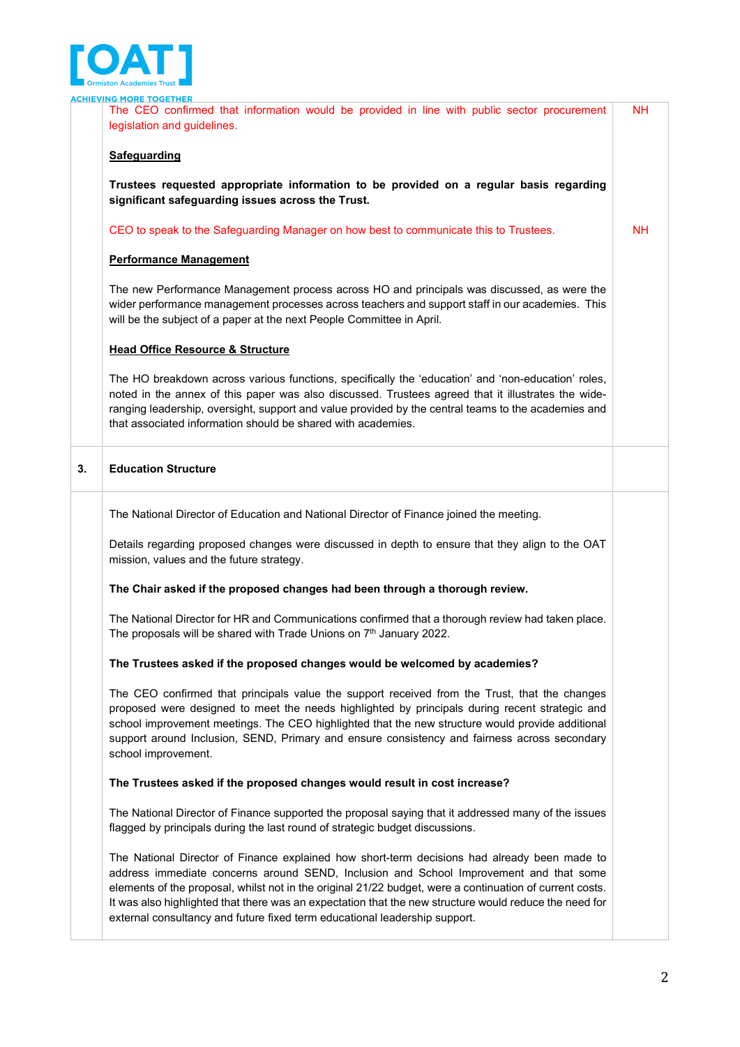

|    | <b>CHIEVING MORE TOGETHER</b>                                                                                                                                                                                                                                                                                                                                                                                                                                                              |           |
|----|--------------------------------------------------------------------------------------------------------------------------------------------------------------------------------------------------------------------------------------------------------------------------------------------------------------------------------------------------------------------------------------------------------------------------------------------------------------------------------------------|-----------|
|    | The CEO confirmed that information would be provided in line with public sector procurement<br>legislation and guidelines.                                                                                                                                                                                                                                                                                                                                                                 | <b>NH</b> |
|    | Safeguarding                                                                                                                                                                                                                                                                                                                                                                                                                                                                               |           |
|    | Trustees requested appropriate information to be provided on a regular basis regarding<br>significant safeguarding issues across the Trust.                                                                                                                                                                                                                                                                                                                                                |           |
|    | CEO to speak to the Safeguarding Manager on how best to communicate this to Trustees.                                                                                                                                                                                                                                                                                                                                                                                                      | NH.       |
|    | <b>Performance Management</b>                                                                                                                                                                                                                                                                                                                                                                                                                                                              |           |
|    | The new Performance Management process across HO and principals was discussed, as were the<br>wider performance management processes across teachers and support staff in our academies. This<br>will be the subject of a paper at the next People Committee in April.                                                                                                                                                                                                                     |           |
|    | <b>Head Office Resource &amp; Structure</b>                                                                                                                                                                                                                                                                                                                                                                                                                                                |           |
|    | The HO breakdown across various functions, specifically the 'education' and 'non-education' roles,<br>noted in the annex of this paper was also discussed. Trustees agreed that it illustrates the wide-<br>ranging leadership, oversight, support and value provided by the central teams to the academies and<br>that associated information should be shared with academies.                                                                                                            |           |
| 3. | <b>Education Structure</b>                                                                                                                                                                                                                                                                                                                                                                                                                                                                 |           |
|    | The National Director of Education and National Director of Finance joined the meeting.                                                                                                                                                                                                                                                                                                                                                                                                    |           |
|    | Details regarding proposed changes were discussed in depth to ensure that they align to the OAT<br>mission, values and the future strategy.                                                                                                                                                                                                                                                                                                                                                |           |
|    | The Chair asked if the proposed changes had been through a thorough review.                                                                                                                                                                                                                                                                                                                                                                                                                |           |
|    | The National Director for HR and Communications confirmed that a thorough review had taken place.<br>The proposals will be shared with Trade Unions on $7th$ January 2022.                                                                                                                                                                                                                                                                                                                 |           |
|    | The Trustees asked if the proposed changes would be welcomed by academies?                                                                                                                                                                                                                                                                                                                                                                                                                 |           |
|    | The CEO confirmed that principals value the support received from the Trust, that the changes<br>proposed were designed to meet the needs highlighted by principals during recent strategic and<br>school improvement meetings. The CEO highlighted that the new structure would provide additional<br>support around Inclusion, SEND, Primary and ensure consistency and fairness across secondary<br>school improvement.                                                                 |           |
|    | The Trustees asked if the proposed changes would result in cost increase?                                                                                                                                                                                                                                                                                                                                                                                                                  |           |
|    | The National Director of Finance supported the proposal saying that it addressed many of the issues<br>flagged by principals during the last round of strategic budget discussions.                                                                                                                                                                                                                                                                                                        |           |
|    | The National Director of Finance explained how short-term decisions had already been made to<br>address immediate concerns around SEND, Inclusion and School Improvement and that some<br>elements of the proposal, whilst not in the original 21/22 budget, were a continuation of current costs.<br>It was also highlighted that there was an expectation that the new structure would reduce the need for<br>external consultancy and future fixed term educational leadership support. |           |
|    |                                                                                                                                                                                                                                                                                                                                                                                                                                                                                            |           |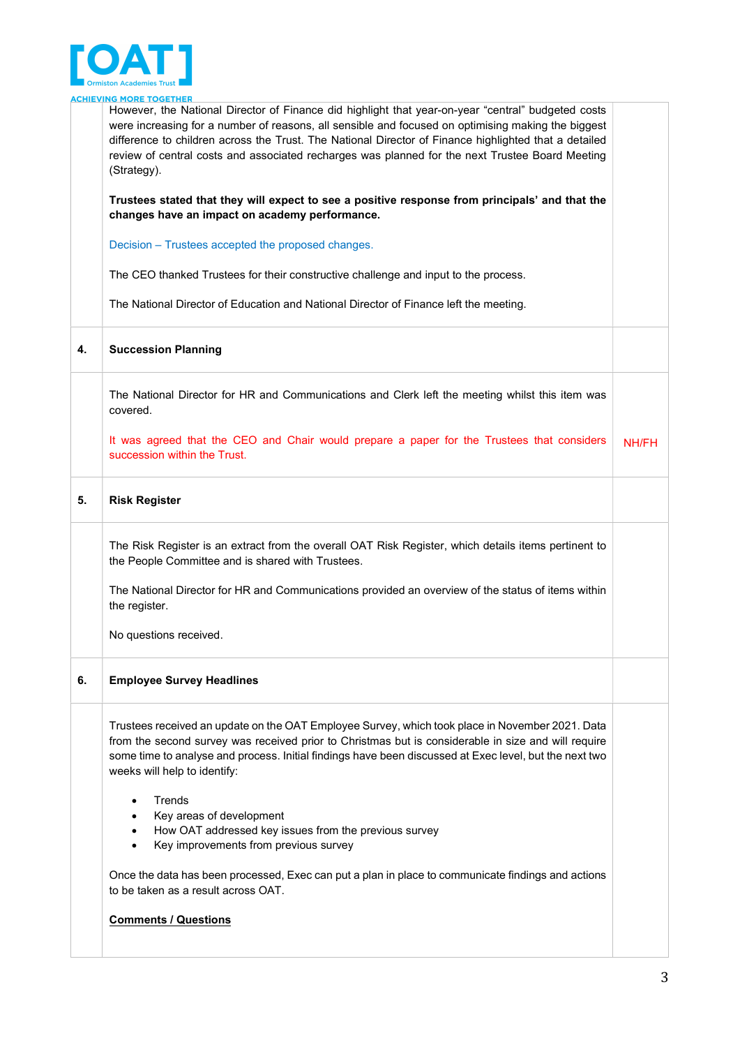

|    | <b>ACHIEVING MORE TOGETHER</b>                                                                                                                                                                                                                                                                                                                   |              |
|----|--------------------------------------------------------------------------------------------------------------------------------------------------------------------------------------------------------------------------------------------------------------------------------------------------------------------------------------------------|--------------|
|    | However, the National Director of Finance did highlight that year-on-year "central" budgeted costs<br>were increasing for a number of reasons, all sensible and focused on optimising making the biggest<br>difference to children across the Trust. The National Director of Finance highlighted that a detailed                                |              |
|    | review of central costs and associated recharges was planned for the next Trustee Board Meeting<br>(Strategy).                                                                                                                                                                                                                                   |              |
|    | Trustees stated that they will expect to see a positive response from principals' and that the<br>changes have an impact on academy performance.                                                                                                                                                                                                 |              |
|    | Decision - Trustees accepted the proposed changes.                                                                                                                                                                                                                                                                                               |              |
|    | The CEO thanked Trustees for their constructive challenge and input to the process.                                                                                                                                                                                                                                                              |              |
|    | The National Director of Education and National Director of Finance left the meeting.                                                                                                                                                                                                                                                            |              |
| 4. | <b>Succession Planning</b>                                                                                                                                                                                                                                                                                                                       |              |
|    | The National Director for HR and Communications and Clerk left the meeting whilst this item was<br>covered.                                                                                                                                                                                                                                      |              |
|    | It was agreed that the CEO and Chair would prepare a paper for the Trustees that considers<br>succession within the Trust.                                                                                                                                                                                                                       | <b>NH/FH</b> |
| 5. | <b>Risk Register</b>                                                                                                                                                                                                                                                                                                                             |              |
|    | The Risk Register is an extract from the overall OAT Risk Register, which details items pertinent to<br>the People Committee and is shared with Trustees.                                                                                                                                                                                        |              |
|    | The National Director for HR and Communications provided an overview of the status of items within<br>the register.                                                                                                                                                                                                                              |              |
|    | No questions received.                                                                                                                                                                                                                                                                                                                           |              |
| 6. | <b>Employee Survey Headlines</b>                                                                                                                                                                                                                                                                                                                 |              |
|    | Trustees received an update on the OAT Employee Survey, which took place in November 2021. Data<br>from the second survey was received prior to Christmas but is considerable in size and will require<br>some time to analyse and process. Initial findings have been discussed at Exec level, but the next two<br>weeks will help to identify: |              |
|    | Trends                                                                                                                                                                                                                                                                                                                                           |              |
|    | Key areas of development<br>How OAT addressed key issues from the previous survey<br>$\bullet$                                                                                                                                                                                                                                                   |              |
|    | Key improvements from previous survey                                                                                                                                                                                                                                                                                                            |              |
|    | Once the data has been processed, Exec can put a plan in place to communicate findings and actions<br>to be taken as a result across OAT.                                                                                                                                                                                                        |              |
|    | <b>Comments / Questions</b>                                                                                                                                                                                                                                                                                                                      |              |
|    |                                                                                                                                                                                                                                                                                                                                                  |              |